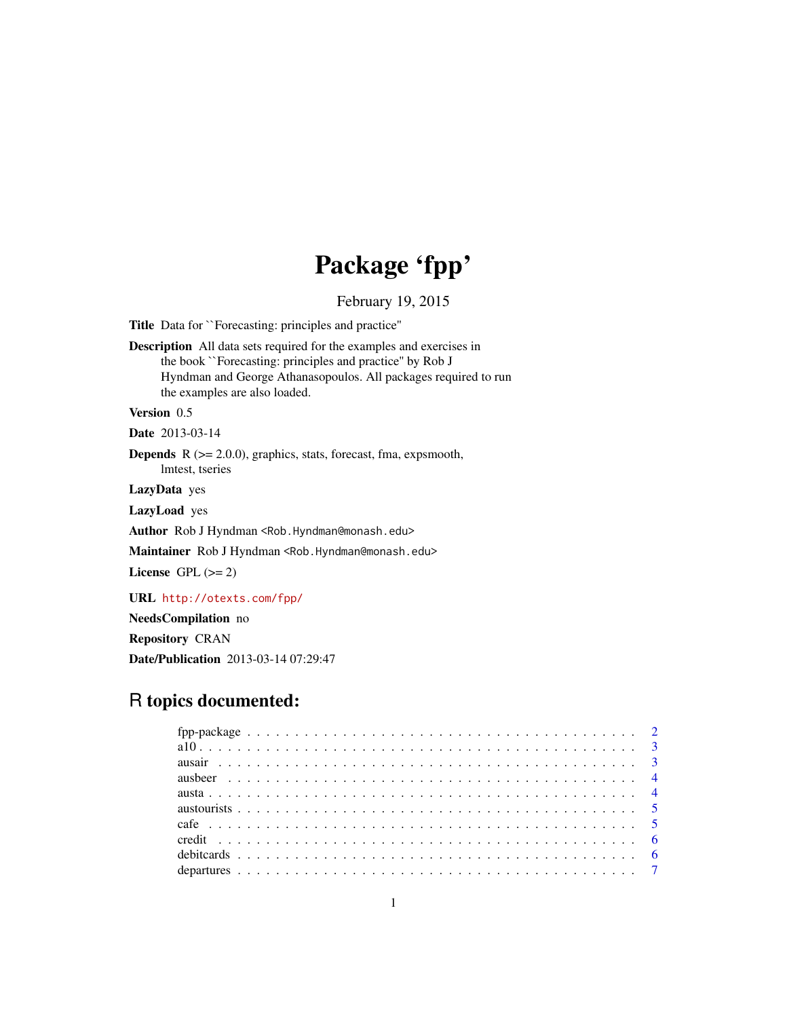# Package 'fpp'

February 19, 2015

<span id="page-0-0"></span>Title Data for ``Forecasting: principles and practice''

Description All data sets required for the examples and exercises in the book ``Forecasting: principles and practice'' by Rob J Hyndman and George Athanasopoulos. All packages required to run the examples are also loaded.

# Version 0.5

Date 2013-03-14

**Depends**  $R$  ( $>= 2.0.0$ ), graphics, stats, forecast, fma, expsmooth, lmtest, tseries

LazyData yes

LazyLoad yes

Author Rob J Hyndman <Rob.Hyndman@monash.edu>

Maintainer Rob J Hyndman <Rob.Hyndman@monash.edu>

License GPL  $(>= 2)$ 

URL <http://otexts.com/fpp/>

NeedsCompilation no Repository CRAN Date/Publication 2013-03-14 07:29:47

# R topics documented: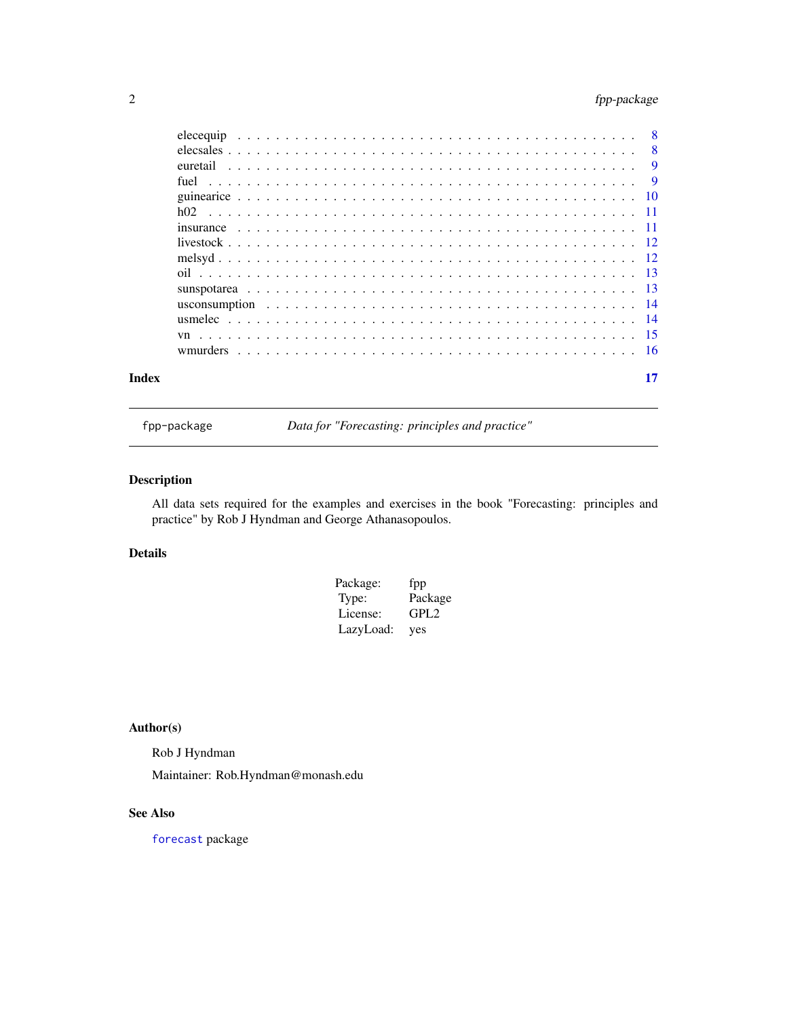# <span id="page-1-0"></span>2 fpp-package

|       |  | where $\epsilon$ is the contract of the contract of the contract of the contract of the contract of the contract of the contract of the contract of the contract of the contract of the contract of the contract of the contract of |
|-------|--|-------------------------------------------------------------------------------------------------------------------------------------------------------------------------------------------------------------------------------------|
| Index |  |                                                                                                                                                                                                                                     |

fpp-package *Data for "Forecasting: principles and practice"*

# Description

All data sets required for the examples and exercises in the book "Forecasting: principles and practice" by Rob J Hyndman and George Athanasopoulos.

# Details

| Package:  | fpp              |
|-----------|------------------|
| Type:     | Package          |
| License:  | GPL <sub>2</sub> |
| LazyLoad: | yes              |

# Author(s)

Rob J Hyndman Maintainer: Rob.Hyndman@monash.edu

# See Also

[forecast](#page-0-0) package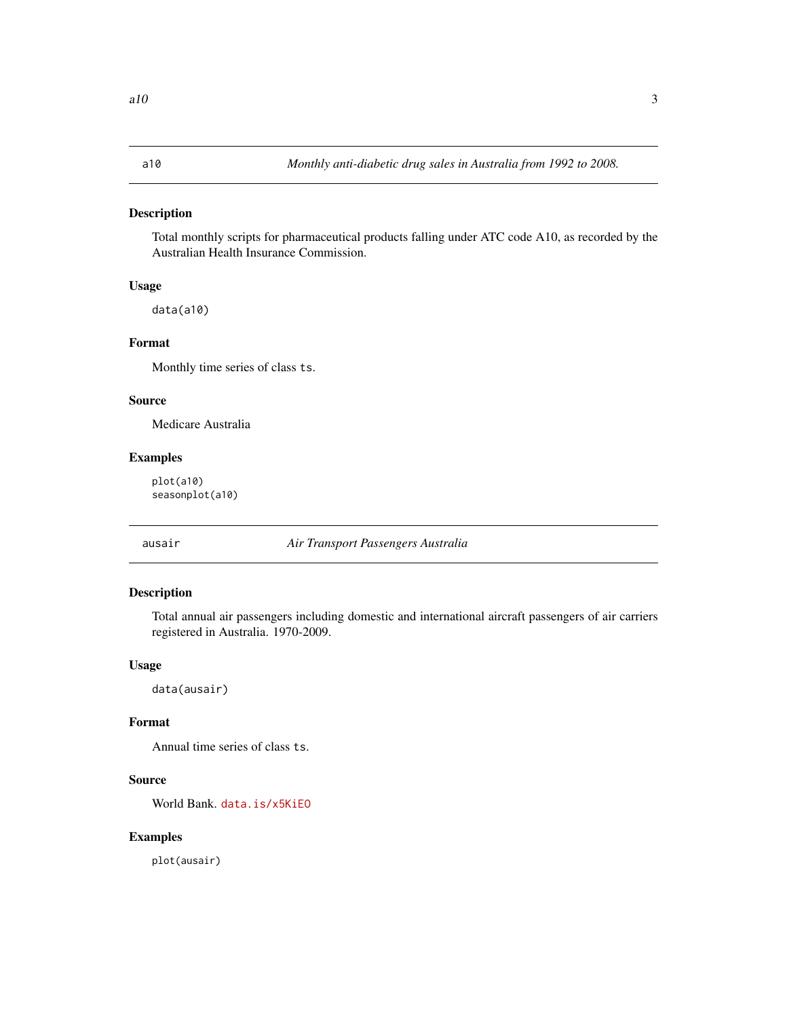<span id="page-2-0"></span>Total monthly scripts for pharmaceutical products falling under ATC code A10, as recorded by the Australian Health Insurance Commission.

# Usage

data(a10)

#### Format

Monthly time series of class ts.

#### Source

Medicare Australia

# Examples

plot(a10) seasonplot(a10)

ausair *Air Transport Passengers Australia*

# Description

Total annual air passengers including domestic and international aircraft passengers of air carriers registered in Australia. 1970-2009.

# Usage

data(ausair)

# Format

Annual time series of class ts.

#### Source

World Bank. <data.is/x5KiEO>

# Examples

plot(ausair)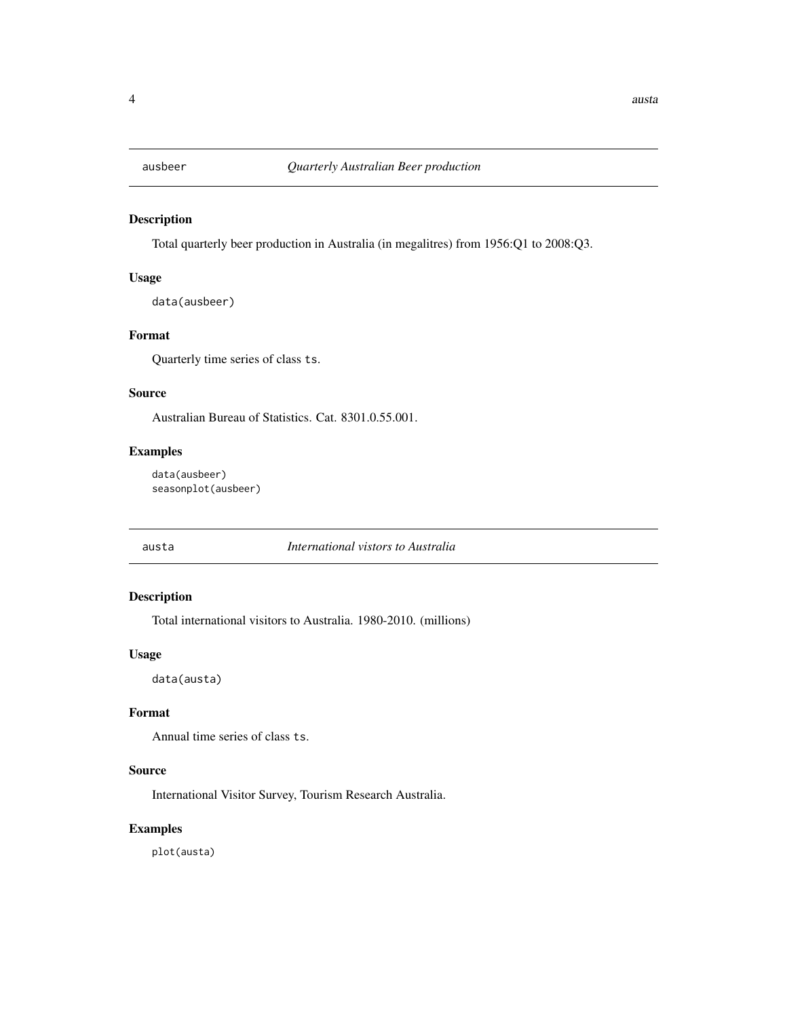<span id="page-3-0"></span>

Total quarterly beer production in Australia (in megalitres) from 1956:Q1 to 2008:Q3.

# Usage

data(ausbeer)

# Format

Quarterly time series of class ts.

#### Source

Australian Bureau of Statistics. Cat. 8301.0.55.001.

# Examples

data(ausbeer) seasonplot(ausbeer)

austa *International vistors to Australia*

# Description

Total international visitors to Australia. 1980-2010. (millions)

#### Usage

data(austa)

# Format

Annual time series of class ts.

# Source

International Visitor Survey, Tourism Research Australia.

#### Examples

plot(austa)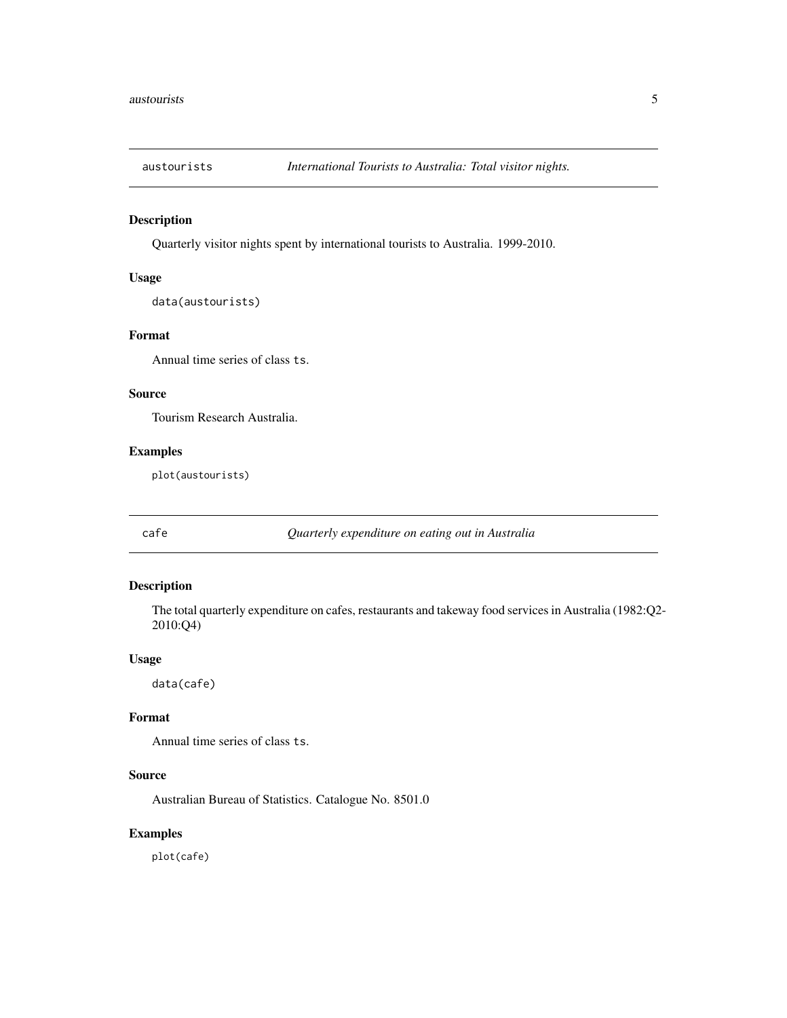<span id="page-4-0"></span>

Quarterly visitor nights spent by international tourists to Australia. 1999-2010.

# Usage

```
data(austourists)
```
# Format

Annual time series of class ts.

#### Source

Tourism Research Australia.

# Examples

plot(austourists)

cafe *Quarterly expenditure on eating out in Australia*

# Description

The total quarterly expenditure on cafes, restaurants and takeway food services in Australia (1982:Q2- 2010:Q4)

# Usage

data(cafe)

### Format

Annual time series of class ts.

#### Source

Australian Bureau of Statistics. Catalogue No. 8501.0

# Examples

plot(cafe)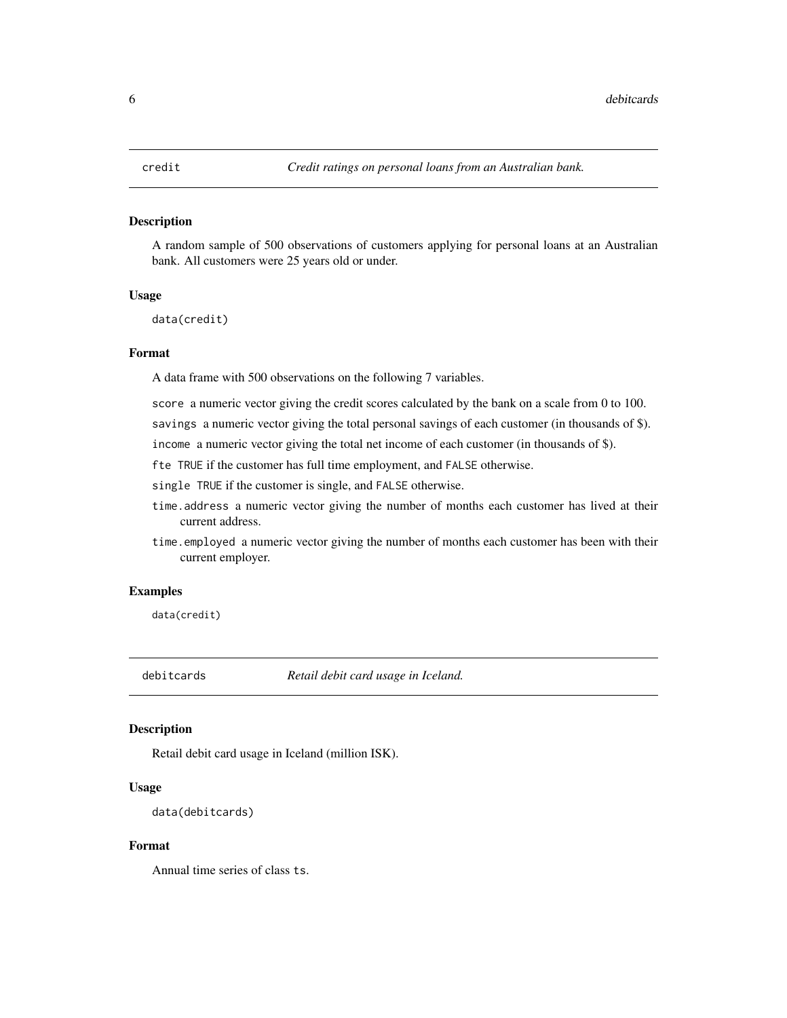<span id="page-5-0"></span>A random sample of 500 observations of customers applying for personal loans at an Australian bank. All customers were 25 years old or under.

#### Usage

```
data(credit)
```
# Format

A data frame with 500 observations on the following 7 variables.

score a numeric vector giving the credit scores calculated by the bank on a scale from 0 to 100.

savings a numeric vector giving the total personal savings of each customer (in thousands of \$).

income a numeric vector giving the total net income of each customer (in thousands of \$).

fte TRUE if the customer has full time employment, and FALSE otherwise.

single TRUE if the customer is single, and FALSE otherwise.

- time.address a numeric vector giving the number of months each customer has lived at their current address.
- time.employed a numeric vector giving the number of months each customer has been with their current employer.

#### Examples

data(credit)

debitcards *Retail debit card usage in Iceland.*

#### **Description**

Retail debit card usage in Iceland (million ISK).

#### Usage

```
data(debitcards)
```
# Format

Annual time series of class ts.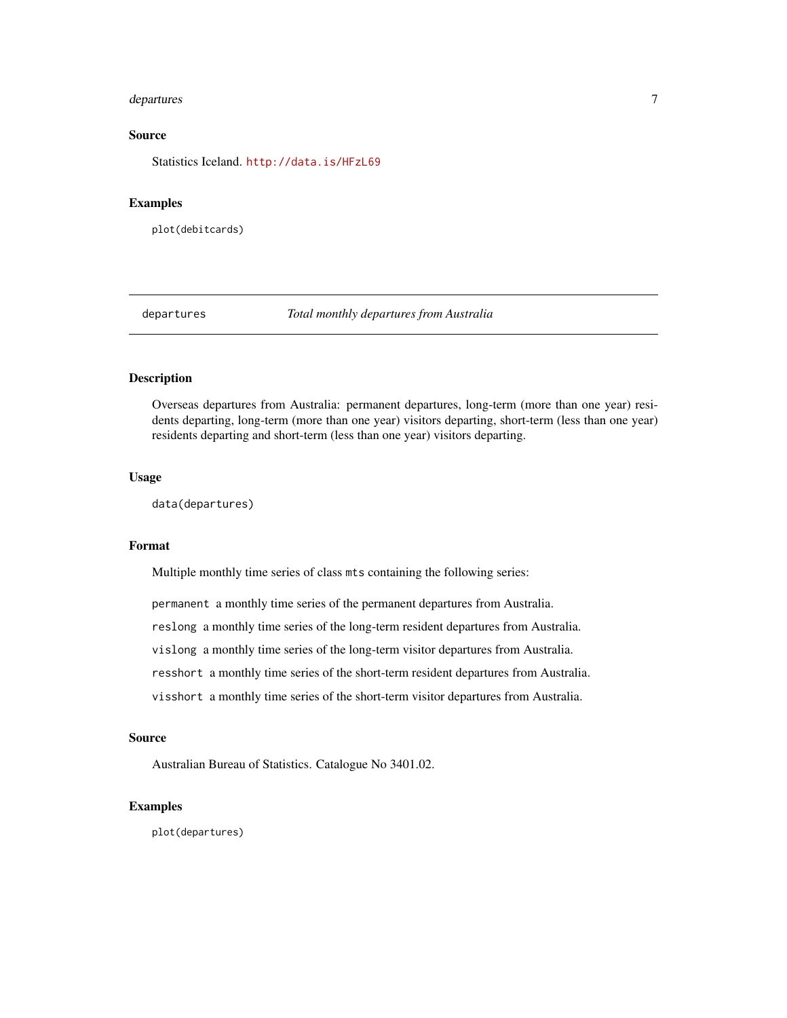#### <span id="page-6-0"></span>departures the contract of the contract of the contract of the contract of the contract of the contract of the contract of the contract of the contract of the contract of the contract of the contract of the contract of the

# Source

Statistics Iceland. <http://data.is/HFzL69>

# Examples

plot(debitcards)

departures *Total monthly departures from Australia*

## Description

Overseas departures from Australia: permanent departures, long-term (more than one year) residents departing, long-term (more than one year) visitors departing, short-term (less than one year) residents departing and short-term (less than one year) visitors departing.

#### Usage

```
data(departures)
```
### Format

Multiple monthly time series of class mts containing the following series:

permanent a monthly time series of the permanent departures from Australia.

reslong a monthly time series of the long-term resident departures from Australia.

vislong a monthly time series of the long-term visitor departures from Australia.

resshort a monthly time series of the short-term resident departures from Australia.

visshort a monthly time series of the short-term visitor departures from Australia.

# Source

Australian Bureau of Statistics. Catalogue No 3401.02.

#### Examples

plot(departures)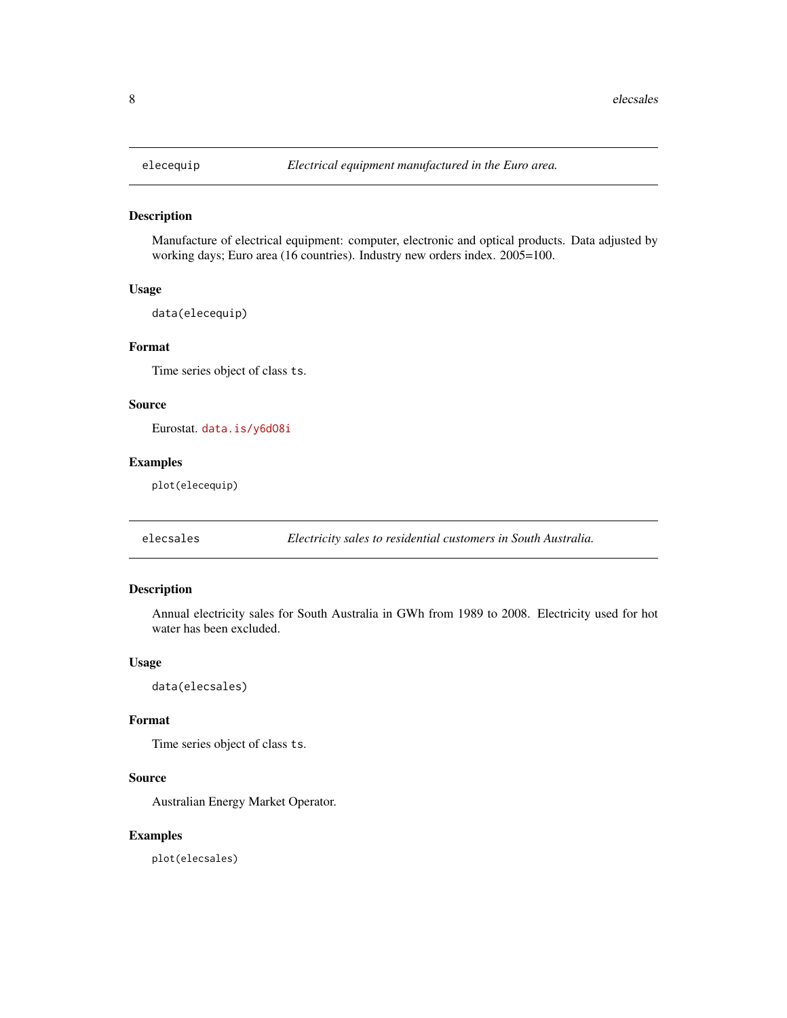<span id="page-7-0"></span>

Manufacture of electrical equipment: computer, electronic and optical products. Data adjusted by working days; Euro area (16 countries). Industry new orders index. 2005=100.

# Usage

data(elecequip)

# Format

Time series object of class ts.

# Source

Eurostat. <data.is/y6dO8i>

# Examples

plot(elecequip)

elecsales *Electricity sales to residential customers in South Australia.*

# Description

Annual electricity sales for South Australia in GWh from 1989 to 2008. Electricity used for hot water has been excluded.

#### Usage

data(elecsales)

### Format

Time series object of class ts.

# Source

Australian Energy Market Operator.

# Examples

plot(elecsales)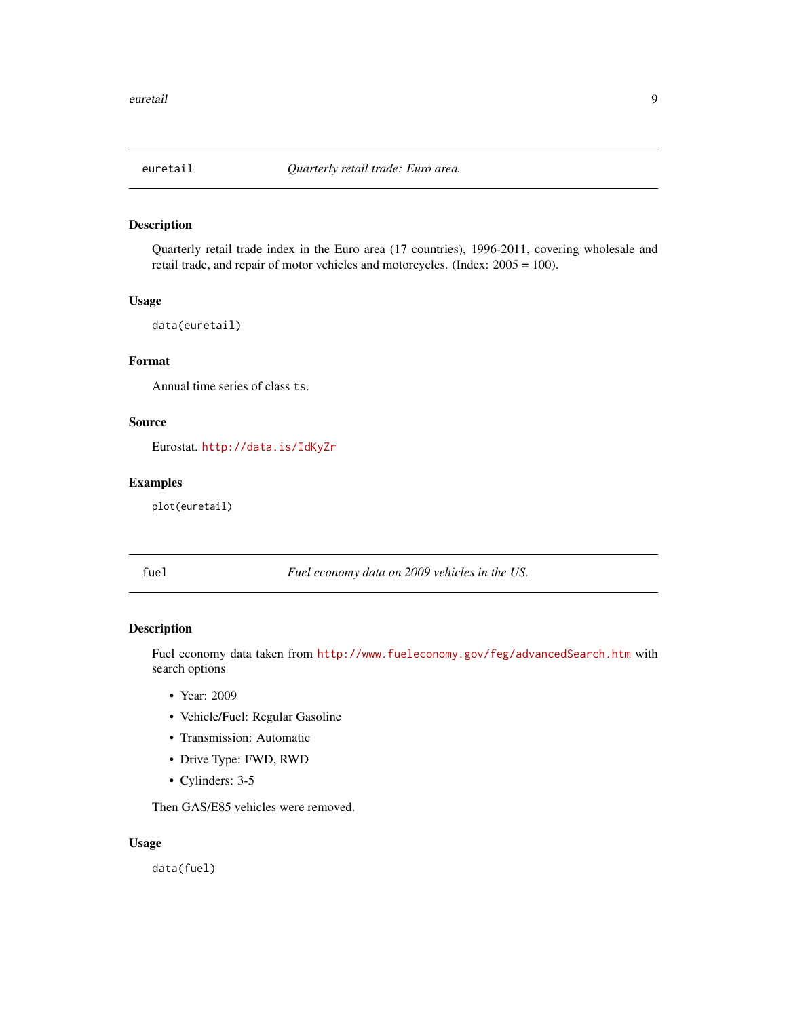<span id="page-8-0"></span>

Quarterly retail trade index in the Euro area (17 countries), 1996-2011, covering wholesale and retail trade, and repair of motor vehicles and motorcycles. (Index: 2005 = 100).

#### Usage

data(euretail)

# Format

Annual time series of class ts.

# Source

Eurostat. <http://data.is/IdKyZr>

## Examples

plot(euretail)

fuel *Fuel economy data on 2009 vehicles in the US.*

# Description

Fuel economy data taken from <http://www.fueleconomy.gov/feg/advancedSearch.htm> with search options

- Year: 2009
- Vehicle/Fuel: Regular Gasoline
- Transmission: Automatic
- Drive Type: FWD, RWD
- Cylinders: 3-5

Then GAS/E85 vehicles were removed.

#### Usage

data(fuel)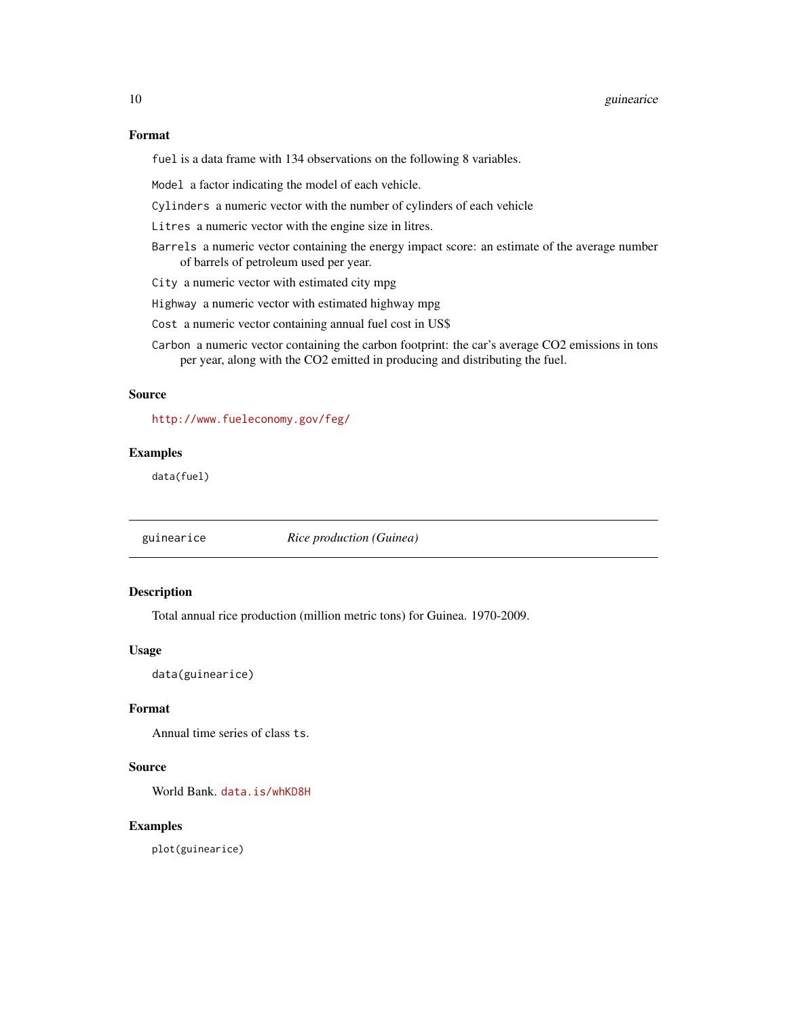### <span id="page-9-0"></span>Format

fuel is a data frame with 134 observations on the following 8 variables.

Model a factor indicating the model of each vehicle.

Cylinders a numeric vector with the number of cylinders of each vehicle

Litres a numeric vector with the engine size in litres.

- Barrels a numeric vector containing the energy impact score: an estimate of the average number of barrels of petroleum used per year.
- City a numeric vector with estimated city mpg
- Highway a numeric vector with estimated highway mpg
- Cost a numeric vector containing annual fuel cost in US\$
- Carbon a numeric vector containing the carbon footprint: the car's average CO2 emissions in tons per year, along with the CO2 emitted in producing and distributing the fuel.

# Source

<http://www.fueleconomy.gov/feg/>

# Examples

data(fuel)

guinearice *Rice production (Guinea)*

### Description

Total annual rice production (million metric tons) for Guinea. 1970-2009.

#### Usage

data(guinearice)

#### Format

Annual time series of class ts.

#### Source

World Bank. <data.is/whKD8H>

# Examples

plot(guinearice)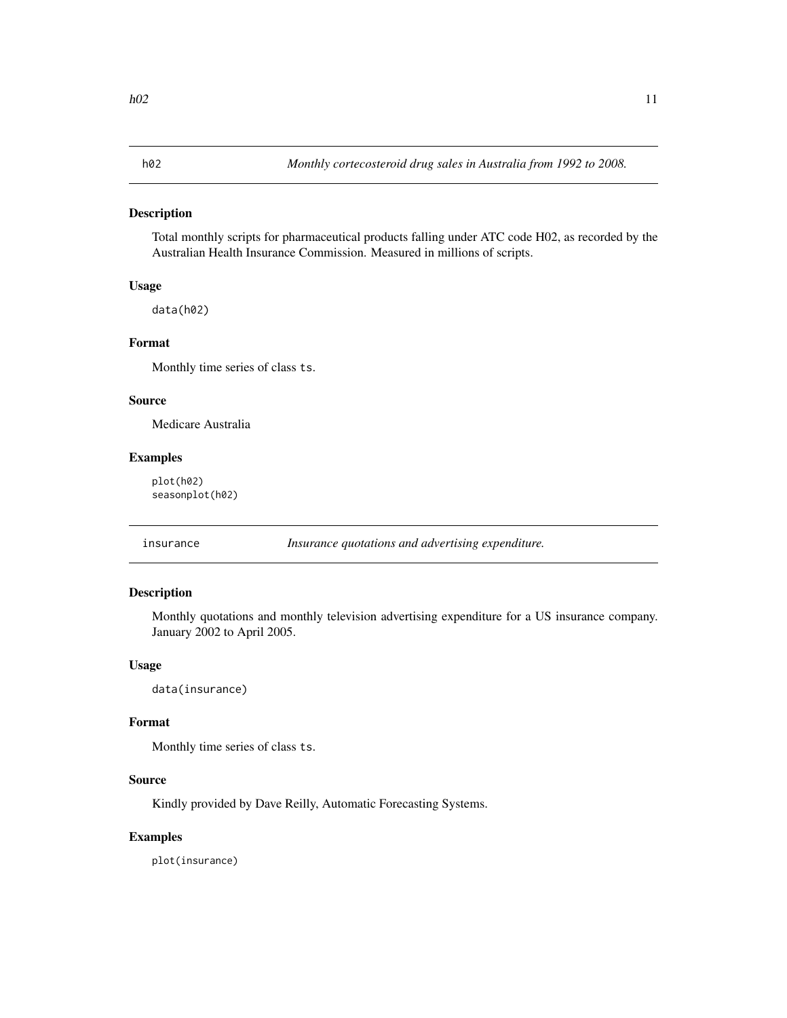<span id="page-10-0"></span>Total monthly scripts for pharmaceutical products falling under ATC code H02, as recorded by the Australian Health Insurance Commission. Measured in millions of scripts.

#### Usage

data(h02)

#### Format

Monthly time series of class ts.

#### Source

Medicare Australia

#### Examples

plot(h02) seasonplot(h02)

insurance *Insurance quotations and advertising expenditure.*

### Description

Monthly quotations and monthly television advertising expenditure for a US insurance company. January 2002 to April 2005.

# Usage

data(insurance)

#### Format

Monthly time series of class ts.

#### Source

Kindly provided by Dave Reilly, Automatic Forecasting Systems.

#### Examples

plot(insurance)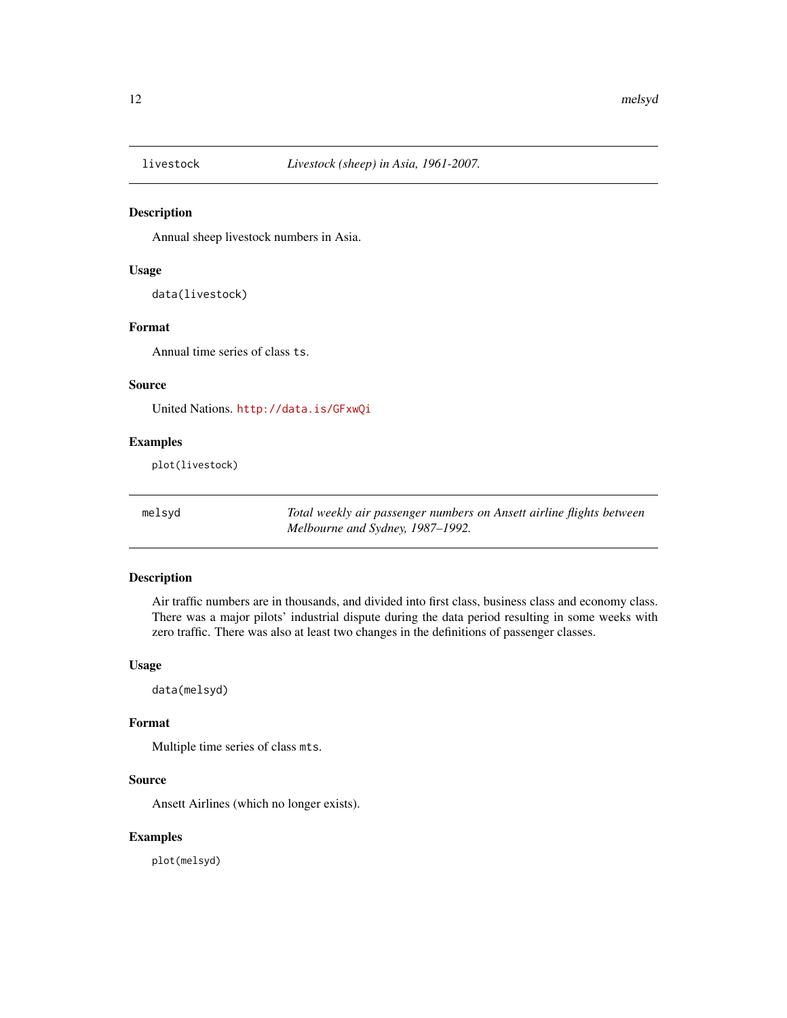<span id="page-11-0"></span>

Annual sheep livestock numbers in Asia.

#### Usage

data(livestock)

# Format

Annual time series of class ts.

#### Source

United Nations. <http://data.is/GFxwQi>

# Examples

plot(livestock)

melsyd *Total weekly air passenger numbers on Ansett airline flights between Melbourne and Sydney, 1987–1992.*

### Description

Air traffic numbers are in thousands, and divided into first class, business class and economy class. There was a major pilots' industrial dispute during the data period resulting in some weeks with zero traffic. There was also at least two changes in the definitions of passenger classes.

# Usage

data(melsyd)

#### Format

Multiple time series of class mts.

#### Source

Ansett Airlines (which no longer exists).

# Examples

plot(melsyd)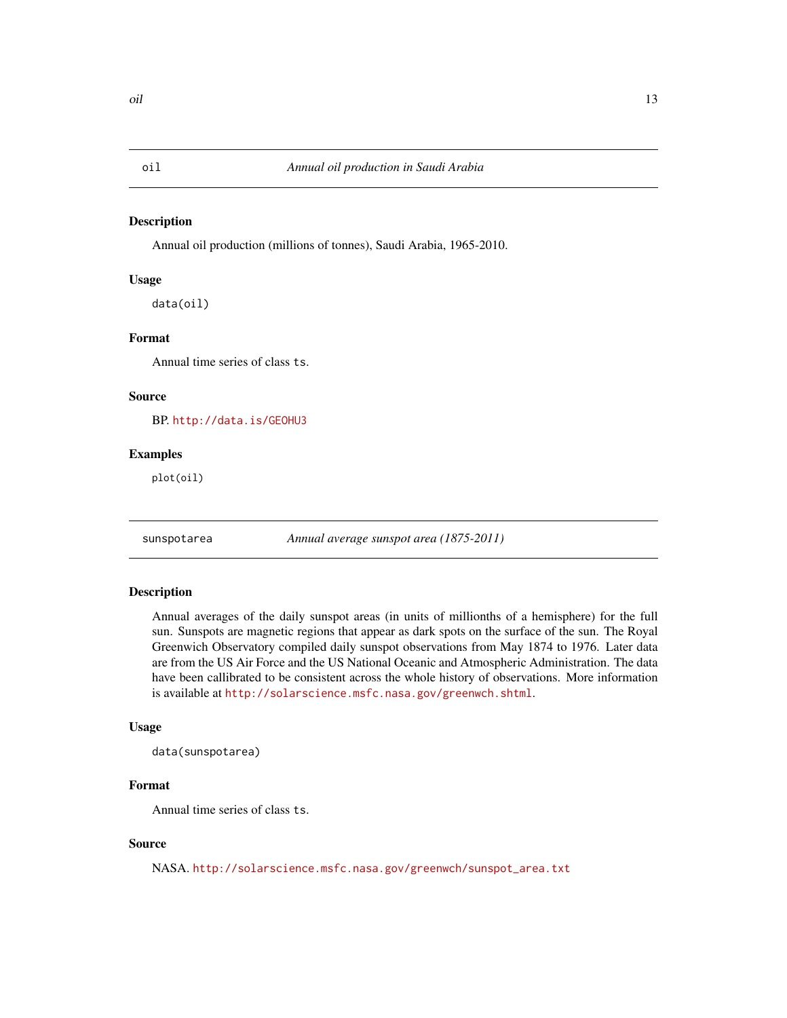<span id="page-12-0"></span>Annual oil production (millions of tonnes), Saudi Arabia, 1965-2010.

#### Usage

data(oil)

# Format

Annual time series of class ts.

#### Source

BP. <http://data.is/GEOHU3>

#### Examples

plot(oil)

sunspotarea *Annual average sunspot area (1875-2011)*

# Description

Annual averages of the daily sunspot areas (in units of millionths of a hemisphere) for the full sun. Sunspots are magnetic regions that appear as dark spots on the surface of the sun. The Royal Greenwich Observatory compiled daily sunspot observations from May 1874 to 1976. Later data are from the US Air Force and the US National Oceanic and Atmospheric Administration. The data have been callibrated to be consistent across the whole history of observations. More information is available at <http://solarscience.msfc.nasa.gov/greenwch.shtml>.

#### Usage

```
data(sunspotarea)
```
# Format

Annual time series of class ts.

#### Source

NASA. [http://solarscience.msfc.nasa.gov/greenwch/sunspot\\_area.txt](http://solarscience.msfc.nasa.gov/greenwch/sunspot_area.txt)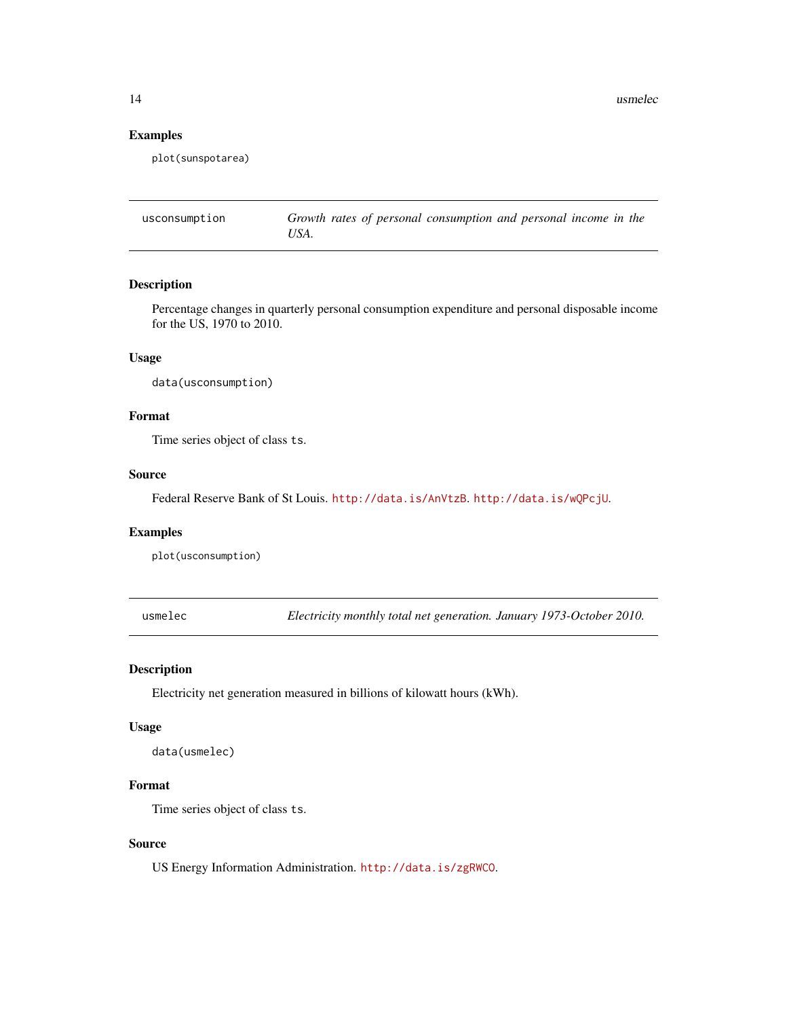<span id="page-13-0"></span>14 usmelectors and the state of the state of the state of the state of the state of the state of the state of the state of the state of the state of the state of the state of the state of the state of the state of the stat

#### Examples

plot(sunspotarea)

usconsumption *Growth rates of personal consumption and personal income in the USA.*

#### Description

Percentage changes in quarterly personal consumption expenditure and personal disposable income for the US, 1970 to 2010.

#### Usage

data(usconsumption)

# Format

Time series object of class ts.

# Source

Federal Reserve Bank of St Louis. <http://data.is/AnVtzB>. <http://data.is/wQPcjU>.

#### Examples

plot(usconsumption)

usmelec *Electricity monthly total net generation. January 1973-October 2010.*

#### Description

Electricity net generation measured in billions of kilowatt hours (kWh).

# Usage

```
data(usmelec)
```
# Format

Time series object of class ts.

# Source

US Energy Information Administration. <http://data.is/zgRWCO>.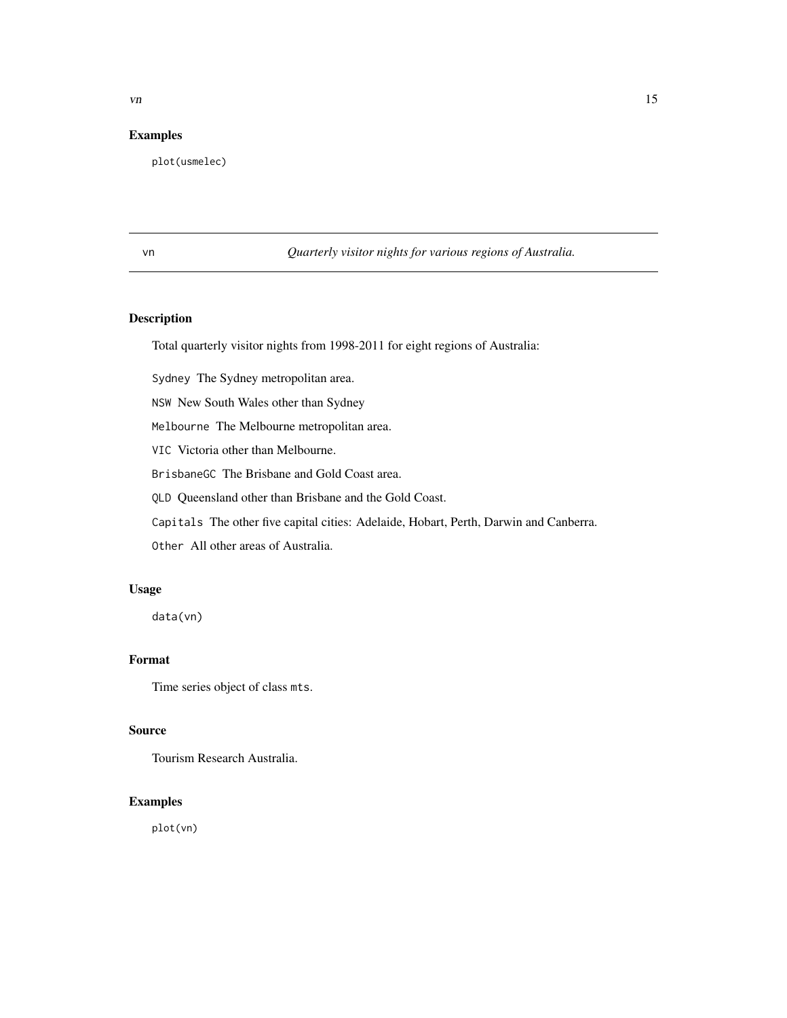# <span id="page-14-0"></span>Examples

plot(usmelec)

vn *Quarterly visitor nights for various regions of Australia.*

# Description

Total quarterly visitor nights from 1998-2011 for eight regions of Australia:

Sydney The Sydney metropolitan area.

NSW New South Wales other than Sydney

Melbourne The Melbourne metropolitan area.

VIC Victoria other than Melbourne.

BrisbaneGC The Brisbane and Gold Coast area.

QLD Queensland other than Brisbane and the Gold Coast.

Capitals The other five capital cities: Adelaide, Hobart, Perth, Darwin and Canberra.

Other All other areas of Australia.

# Usage

data(vn)

# Format

Time series object of class mts.

#### Source

Tourism Research Australia.

# Examples

plot(vn)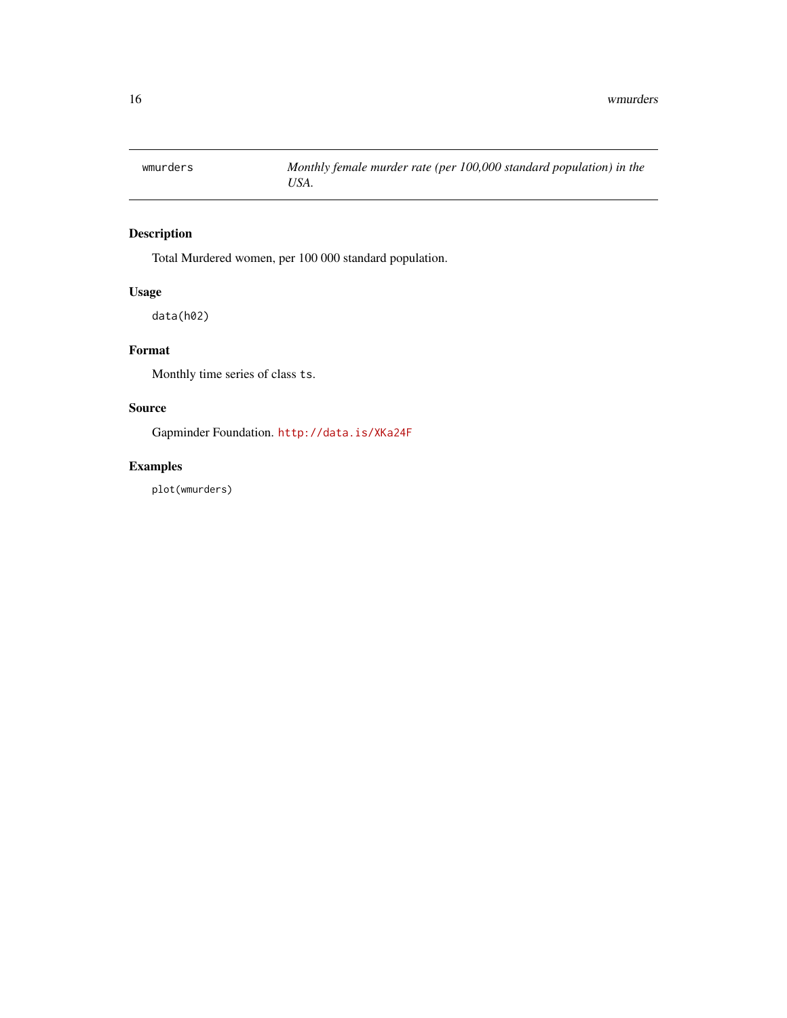<span id="page-15-0"></span>

Total Murdered women, per 100 000 standard population.

# Usage

data(h02)

# Format

Monthly time series of class ts.

# Source

Gapminder Foundation. <http://data.is/XKa24F>

# Examples

plot(wmurders)